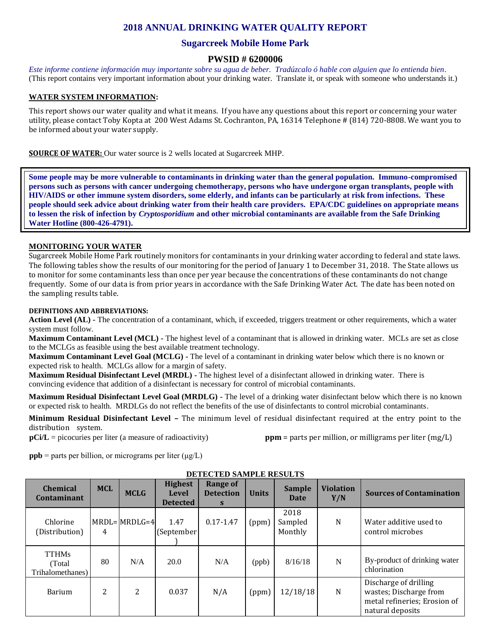# **2018 ANNUAL DRINKING WATER QUALITY REPORT**

# **Sugarcreek Mobile Home Park**

# **PWSID # 6200006**

*Este informe contiene información muy importante sobre su agua de beber. Tradúzcalo ó hable con alguien que lo entienda bien.*  (This report contains very important information about your drinking water. Translate it, or speak with someone who understands it.)

### **WATER SYSTEM INFORMATION:**

This report shows our water quality and what it means. If you have any questions about this report or concerning your water utility, please contact Toby Kopta at 200 West Adams St. Cochranton, PA, 16314 Telephone # (814) 720-8808. We want you to be informed about your water supply.

**SOURCE OF WATER:** Our water source is 2 wells located at Sugarcreek MHP.

**Some people may be more vulnerable to contaminants in drinking water than the general population. Immuno-compromised persons such as persons with cancer undergoing chemotherapy, persons who have undergone organ transplants, people with HIV/AIDS or other immune system disorders, some elderly, and infants can be particularly at risk from infections. These people should seek advice about drinking water from their health care providers. EPA/CDC guidelines on appropriate means to lessen the risk of infection by** *Cryptosporidium* **and other microbial contaminants are available from the Safe Drinking Water Hotline (800-426-4791).**

#### **MONITORING YOUR WATER**

Sugarcreek Mobile Home Park routinely monitors for contaminants in your drinking water according to federal and state laws. The following tables show the results of our monitoring for the period of January 1 to December 31, 2018. The State allows us to monitor for some contaminants less than once per year because the concentrations of these contaminants do not change frequently. Some of our data is from prior years in accordance with the Safe Drinking Water Act. The date has been noted on the sampling results table.

#### **DEFINITIONS AND ABBREVIATIONS:**

**Action Level (AL) -** The concentration of a contaminant, which, if exceeded, triggers treatment or other requirements, which a water system must follow.

**Maximum Contaminant Level (MCL) -** The highest level of a contaminant that is allowed in drinking water. MCLs are set as close to the MCLGs as feasible using the best available treatment technology.

**Maximum Contaminant Level Goal (MCLG) -** The level of a contaminant in drinking water below which there is no known or expected risk to health. MCLGs allow for a margin of safety.

**Maximum Residual Disinfectant Level (MRDL) -** The highest level of a disinfectant allowed in drinking water. There is convincing evidence that addition of a disinfectant is necessary for control of microbial contaminants.

**Maximum Residual Disinfectant Level Goal (MRDLG) -** The level of a drinking water disinfectant below which there is no known or expected risk to health. MRDLGs do not reflect the benefits of the use of disinfectants to control microbial contaminants.

**Minimum Residual Disinfectant Level –** The minimum level of residual disinfectant required at the entry point to the distribution system.

**pCi/L** = picocuries per liter (a measure of radioactivity) **ppm** = parts per million, or milligrams per liter (mg/L)

**ppb** = parts per billion, or micrograms per liter  $(\mu g/L)$ 

| <b>Chemical</b><br>Contaminant             | <b>MCL</b> | <b>MCLG</b>        | <b>Highest</b><br><b>Level</b><br><b>Detected</b> | <b>Range of</b><br><b>Detection</b><br>S | <b>Units</b> | Sample<br>Date             | <b>Violation</b><br>Y/N | <b>Sources of Contamination</b>                                                                     |
|--------------------------------------------|------------|--------------------|---------------------------------------------------|------------------------------------------|--------------|----------------------------|-------------------------|-----------------------------------------------------------------------------------------------------|
| Chlorine<br>(Distribution)                 | 4          | $MRDL = MRDLG = 4$ | 1.47<br>(September                                | $0.17 - 1.47$                            | (ppm)        | 2018<br>Sampled<br>Monthly | N                       | Water additive used to<br>control microbes                                                          |
| <b>TTHMs</b><br>(Total<br>Trihalomethanes) | 80         | N/A                | 20.0                                              | N/A                                      | (ppb)        | 8/16/18                    | N                       | By-product of drinking water<br>chlorination                                                        |
| <b>Barium</b>                              | 2          | 2                  | 0.037                                             | N/A                                      | (ppm)        | 12/18/18                   | N                       | Discharge of drilling<br>wastes; Discharge from<br>metal refineries; Erosion of<br>natural deposits |

#### **DETECTED SAMPLE RESULTS**